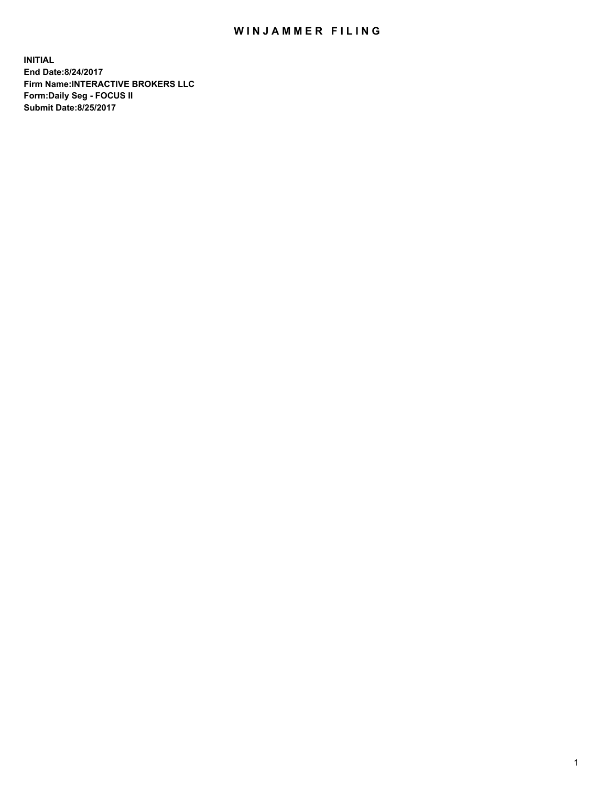## WIN JAMMER FILING

**INITIAL End Date:8/24/2017 Firm Name:INTERACTIVE BROKERS LLC Form:Daily Seg - FOCUS II Submit Date:8/25/2017**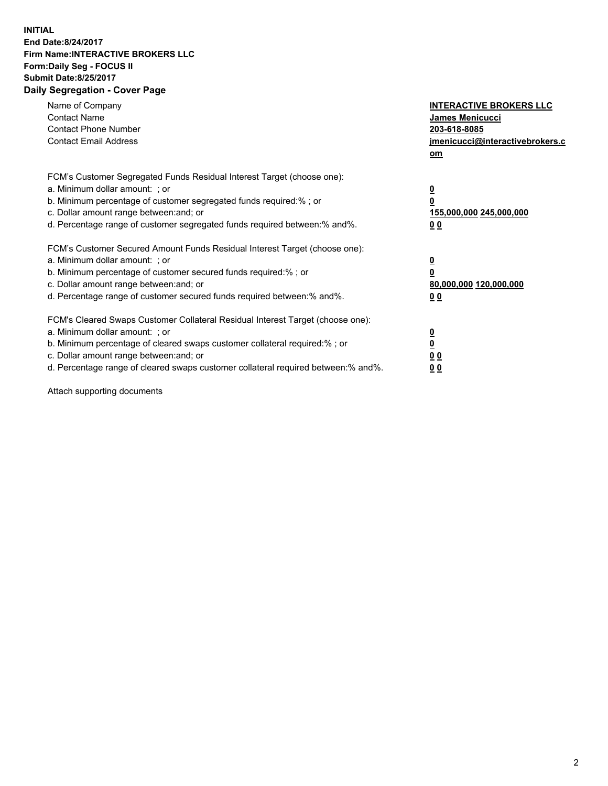## **INITIAL End Date:8/24/2017 Firm Name:INTERACTIVE BROKERS LLC Form:Daily Seg - FOCUS II Submit Date:8/25/2017 Daily Segregation - Cover Page**

| Name of Company<br><b>Contact Name</b><br><b>Contact Phone Number</b><br><b>Contact Email Address</b>                                                                                                                                                                                                                          | <b>INTERACTIVE BROKERS LLC</b><br><b>James Menicucci</b><br>203-618-8085<br>jmenicucci@interactivebrokers.c<br>om |
|--------------------------------------------------------------------------------------------------------------------------------------------------------------------------------------------------------------------------------------------------------------------------------------------------------------------------------|-------------------------------------------------------------------------------------------------------------------|
| FCM's Customer Segregated Funds Residual Interest Target (choose one):<br>a. Minimum dollar amount: ; or<br>b. Minimum percentage of customer segregated funds required:%; or<br>c. Dollar amount range between: and; or<br>d. Percentage range of customer segregated funds required between:% and%.                          | $\overline{\mathbf{0}}$<br>0<br>155,000,000 245,000,000<br>0 <sub>0</sub>                                         |
| FCM's Customer Secured Amount Funds Residual Interest Target (choose one):<br>a. Minimum dollar amount: ; or<br>b. Minimum percentage of customer secured funds required:%; or<br>c. Dollar amount range between: and; or<br>d. Percentage range of customer secured funds required between: % and %.                          | $\overline{\mathbf{0}}$<br>0<br>80,000,000 120,000,000<br>00                                                      |
| FCM's Cleared Swaps Customer Collateral Residual Interest Target (choose one):<br>a. Minimum dollar amount: ; or<br>b. Minimum percentage of cleared swaps customer collateral required:% ; or<br>c. Dollar amount range between: and; or<br>d. Percentage range of cleared swaps customer collateral required between:% and%. | $\overline{\mathbf{0}}$<br>$\overline{\mathbf{0}}$<br>0 <sub>0</sub><br><u>00</u>                                 |

Attach supporting documents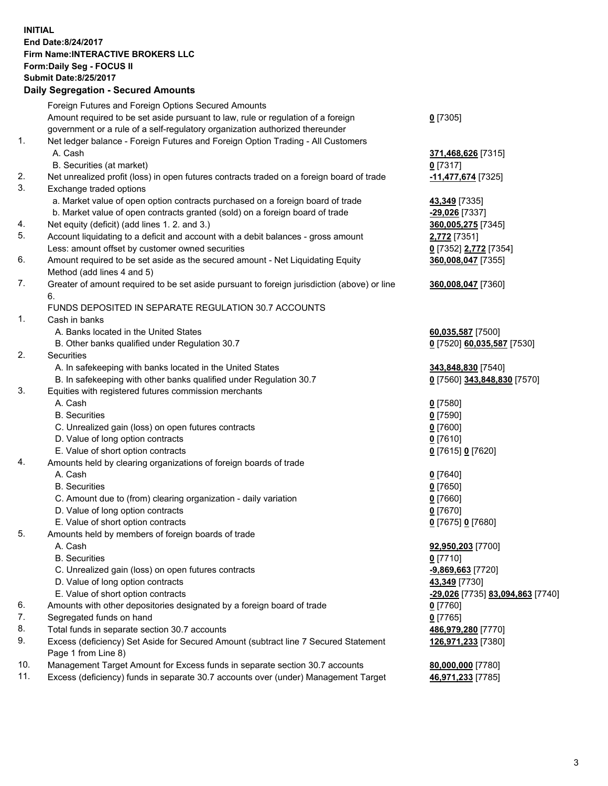## **INITIAL End Date:8/24/2017 Firm Name:INTERACTIVE BROKERS LLC Form:Daily Seg - FOCUS II Submit Date:8/25/2017**

|     | <b>Daily Segregation - Secured Amounts</b>                                                  |                                  |
|-----|---------------------------------------------------------------------------------------------|----------------------------------|
|     | Foreign Futures and Foreign Options Secured Amounts                                         |                                  |
|     | Amount required to be set aside pursuant to law, rule or regulation of a foreign            | $0$ [7305]                       |
|     | government or a rule of a self-regulatory organization authorized thereunder                |                                  |
| 1.  | Net ledger balance - Foreign Futures and Foreign Option Trading - All Customers             |                                  |
|     | A. Cash                                                                                     | 371,468,626 [7315]               |
|     | B. Securities (at market)                                                                   | $0$ [7317]                       |
| 2.  | Net unrealized profit (loss) in open futures contracts traded on a foreign board of trade   | -11,477,674 [7325]               |
| 3.  | Exchange traded options                                                                     |                                  |
|     | a. Market value of open option contracts purchased on a foreign board of trade              | 43,349 [7335]                    |
|     | b. Market value of open contracts granted (sold) on a foreign board of trade                | <u>-29,026</u> [7337]            |
| 4.  | Net equity (deficit) (add lines 1.2. and 3.)                                                | 360,005,275 [7345]               |
| 5.  | Account liquidating to a deficit and account with a debit balances - gross amount           | 2,772 [7351]                     |
|     | Less: amount offset by customer owned securities                                            | 0 [7352] 2,772 [7354]            |
| 6.  | Amount required to be set aside as the secured amount - Net Liquidating Equity              | 360,008,047 [7355]               |
|     | Method (add lines 4 and 5)                                                                  |                                  |
| 7.  | Greater of amount required to be set aside pursuant to foreign jurisdiction (above) or line | 360,008,047 [7360]               |
|     | 6.                                                                                          |                                  |
|     | FUNDS DEPOSITED IN SEPARATE REGULATION 30.7 ACCOUNTS                                        |                                  |
| 1.  | Cash in banks                                                                               |                                  |
|     | A. Banks located in the United States                                                       | 60,035,587 [7500]                |
|     | B. Other banks qualified under Regulation 30.7                                              | 0 [7520] 60,035,587 [7530]       |
| 2.  | Securities                                                                                  |                                  |
|     | A. In safekeeping with banks located in the United States                                   | 343,848,830 [7540]               |
|     | B. In safekeeping with other banks qualified under Regulation 30.7                          | 0 [7560] 343,848,830 [7570]      |
| 3.  | Equities with registered futures commission merchants                                       |                                  |
|     | A. Cash                                                                                     | $0$ [7580]                       |
|     | <b>B.</b> Securities                                                                        | <u>0</u> [7590]                  |
|     | C. Unrealized gain (loss) on open futures contracts                                         | 0 [7600]                         |
|     | D. Value of long option contracts                                                           | $0$ [7610]                       |
|     | E. Value of short option contracts                                                          | 0 [7615] 0 [7620]                |
| 4.  | Amounts held by clearing organizations of foreign boards of trade                           |                                  |
|     | A. Cash                                                                                     | $0$ [7640]                       |
|     | <b>B.</b> Securities                                                                        | $0$ [7650]                       |
|     | C. Amount due to (from) clearing organization - daily variation                             | 0 [7660]                         |
|     | D. Value of long option contracts                                                           | $0$ [7670]                       |
|     | E. Value of short option contracts                                                          | 0 [7675] 0 [7680]                |
| 5.  | Amounts held by members of foreign boards of trade                                          |                                  |
|     | A. Cash                                                                                     | 92,950,203 [7700]                |
|     | <b>B.</b> Securities                                                                        | 0 [7710]                         |
|     | C. Unrealized gain (loss) on open futures contracts                                         | <u>-9,869,663</u> [7720]         |
|     | D. Value of long option contracts                                                           | 43,349 [7730]                    |
|     | E. Value of short option contracts                                                          | -29,026 [7735] 83,094,863 [7740] |
| 6.  | Amounts with other depositories designated by a foreign board of trade                      | 0 [7760]                         |
| 7.  | Segregated funds on hand                                                                    | $0$ [7765]                       |
| 8.  | Total funds in separate section 30.7 accounts                                               | 486,979,280 [7770]               |
| 9.  | Excess (deficiency) Set Aside for Secured Amount (subtract line 7 Secured Statement         | 126,971,233 [7380]               |
|     | Page 1 from Line 8)                                                                         |                                  |
| 10. | Management Target Amount for Excess funds in separate section 30.7 accounts                 | 80,000,000 [7780]                |
| 11. | Excess (deficiency) funds in separate 30.7 accounts over (under) Management Target          | 46,971,233 [7785]                |
|     |                                                                                             |                                  |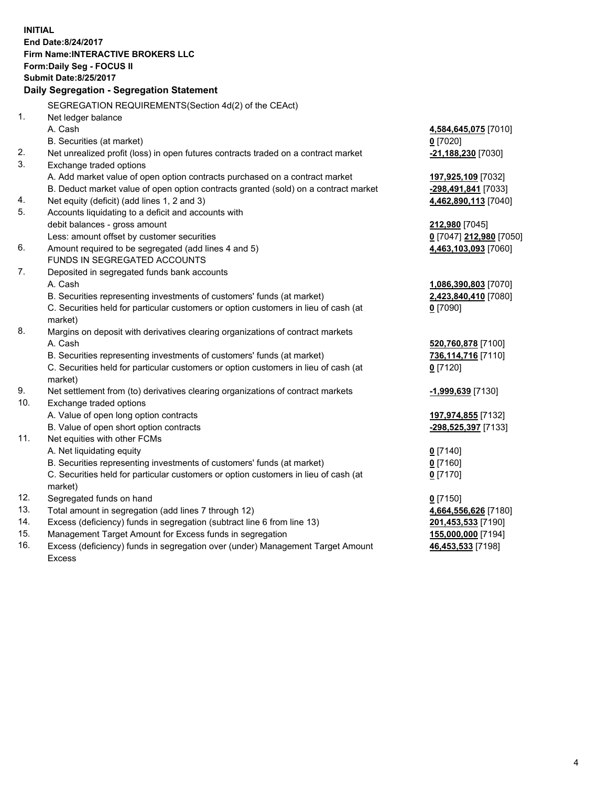**INITIAL End Date:8/24/2017 Firm Name:INTERACTIVE BROKERS LLC Form:Daily Seg - FOCUS II Submit Date:8/25/2017 Daily Segregation - Segregation Statement** SEGREGATION REQUIREMENTS(Section 4d(2) of the CEAct) 1. Net ledger balance A. Cash **4,584,645,075** [7010] B. Securities (at market) **0** [7020] 2. Net unrealized profit (loss) in open futures contracts traded on a contract market **-21,188,230** [7030] 3. Exchange traded options A. Add market value of open option contracts purchased on a contract market **197,925,109** [7032] B. Deduct market value of open option contracts granted (sold) on a contract market **-298,491,841** [7033] 4. Net equity (deficit) (add lines 1, 2 and 3) **4,462,890,113** [7040] 5. Accounts liquidating to a deficit and accounts with debit balances - gross amount **212,980** [7045] Less: amount offset by customer securities **0** [7047] **212,980** [7050] 6. Amount required to be segregated (add lines 4 and 5) **4,463,103,093** [7060] FUNDS IN SEGREGATED ACCOUNTS 7. Deposited in segregated funds bank accounts A. Cash **1,086,390,803** [7070] B. Securities representing investments of customers' funds (at market) **2,423,840,410** [7080] C. Securities held for particular customers or option customers in lieu of cash (at market) **0** [7090] 8. Margins on deposit with derivatives clearing organizations of contract markets A. Cash **520,760,878** [7100] B. Securities representing investments of customers' funds (at market) **736,114,716** [7110] C. Securities held for particular customers or option customers in lieu of cash (at market) **0** [7120] 9. Net settlement from (to) derivatives clearing organizations of contract markets **-1,999,639** [7130] 10. Exchange traded options A. Value of open long option contracts **197,974,855** [7132] B. Value of open short option contracts **-298,525,397** [7133] 11. Net equities with other FCMs A. Net liquidating equity **0** [7140] B. Securities representing investments of customers' funds (at market) **0** [7160] C. Securities held for particular customers or option customers in lieu of cash (at market) **0** [7170] 12. Segregated funds on hand **0** [7150] 13. Total amount in segregation (add lines 7 through 12) **4,664,556,626** [7180] 14. Excess (deficiency) funds in segregation (subtract line 6 from line 13) **201,453,533** [7190] 15. Management Target Amount for Excess funds in segregation **155,000,000** [7194] **46,453,533** [7198]

16. Excess (deficiency) funds in segregation over (under) Management Target Amount Excess